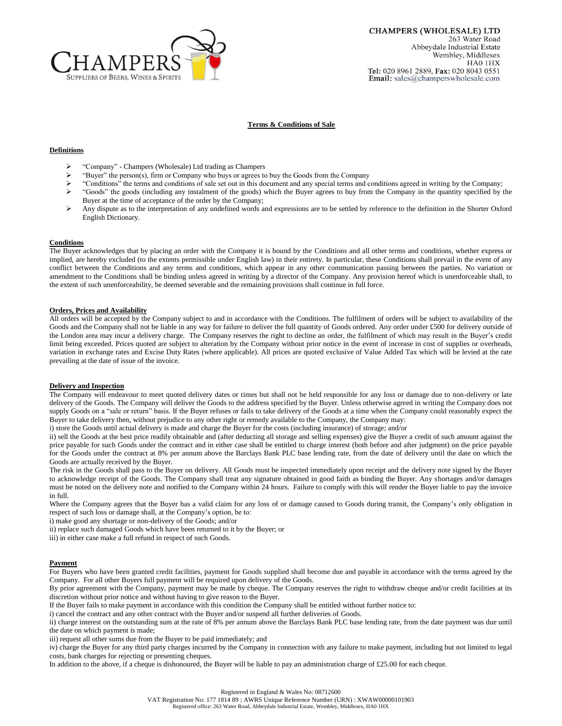

# **Terms & Conditions of Sale**

### **Definitions**

- $\triangleright$  "Company" Champers (Wholesale) Ltd trading as Champers<br> $\triangleright$  "Buyer" the nerson(s) firm or Company who buys or agrees to
- "Buyer" the person(s), firm or Company who buys or agrees to buy the Goods from the Company
- $\triangleright$  "Conditions" the terms and conditions of sale set out in this document and any special terms and conditions agreed in writing by the Company;
- Goods" the goods (including any instalment of the goods) which the Buyer agrees to buy from the Company in the quantity specified by the Buyer at the time of acceptance of the order by the Company;
- Any dispute as to the interpretation of any undefined words and expressions are to be settled by reference to the definition in the Shorter Oxford English Dictionary.

## **Conditions**

The Buyer acknowledges that by placing an order with the Company it is bound by the Conditions and all other terms and conditions, whether express or implied, are hereby excluded (to the extents permissible under English law) in their entirety. In particular, these Conditions shall prevail in the event of any conflict between the Conditions and any terms and conditions, which appear in any other communication passing between the parties. No variation or amendment to the Conditions shall be binding unless agreed in writing by a director of the Company. Any provision hereof which is unenforceable shall, to the extent of such unenforceability, be deemed severable and the remaining provisions shall continue in full force.

#### **Orders, Prices and Availability**

All orders will be accepted by the Company subject to and in accordance with the Conditions. The fulfilment of orders will be subject to availability of the Goods and the Company shall not be liable in any way for failure to deliver the full quantity of Goods ordered. Any order under £500 for delivery outside of the London area may incur a delivery charge. The Company reserves the right to decline an order, the fulfilment of which may result in the Buyer's credit limit being exceeded. Prices quoted are subject to alteration by the Company without prior notice in the event of increase in cost of supplies or overheads, variation in exchange rates and Excise Duty Rates (where applicable). All prices are quoted exclusive of Value Added Tax which will be levied at the rate prevailing at the date of issue of the invoice.

#### **Delivery and Inspection**

The Company will endeavour to meet quoted delivery dates or times but shall not be held responsible for any loss or damage due to non-delivery or late delivery of the Goods. The Company will deliver the Goods to the address specified by the Buyer. Unless otherwise agreed in writing the Company does not supply Goods on a "sale or return" basis. If the Buyer refuses or fails to take delivery of the Goods at a time when the Company could reasonably expect the Buyer to take delivery then, without prejudice to any other right or remedy available to the Company, the Company may:

i) store the Goods until actual delivery is made and charge the Buyer for the costs (including insurance) of storage; and/or

ii) sell the Goods at the best price readily obtainable and (after deducting all storage and selling expenses) give the Buyer a credit of such amount against the price payable for such Goods under the contract and in either case shall be entitled to charge interest (both before and after judgment) on the price payable for the Goods under the contract at 8% per annum above the Barclays Bank PLC base lending rate, from the date of delivery until the date on which the Goods are actually received by the Buyer.

The risk in the Goods shall pass to the Buyer on delivery. All Goods must be inspected immediately upon receipt and the delivery note signed by the Buyer to acknowledge receipt of the Goods. The Company shall treat any signature obtained in good faith as binding the Buyer. Any shortages and/or damages must be noted on the delivery note and notified to the Company within 24 hours. Failure to comply with this will render the Buyer liable to pay the invoice in full.

Where the Company agrees that the Buyer has a valid claim for any loss of or damage caused to Goods during transit, the Company's only obligation in respect of such loss or damage shall, at the Company's option, be to:

i) make good any shortage or non-delivery of the Goods; and/or

ii) replace such damaged Goods which have been returned to it by the Buyer; or

iii) in either case make a full refund in respect of such Goods.

#### **Payment**

For Buyers who have been granted credit facilities, payment for Goods supplied shall become due and payable in accordance with the terms agreed by the Company. For all other Buyers full payment will be required upon delivery of the Goods.

By prior agreement with the Company, payment may be made by cheque. The Company reserves the right to withdraw cheque and/or credit facilities at its discretion without prior notice and without having to give reason to the Buyer.

If the Buyer fails to make payment in accordance with this condition the Company shall be entitled without further notice to:

i) cancel the contract and any other contract with the Buyer and/or suspend all further deliveries of Goods.

ii) charge interest on the outstanding sum at the rate of 8% per annum above the Barclays Bank PLC base lending rate, from the date payment was due until the date on which payment is made;

iii) request all other sums due from the Buyer to be paid immediately; and

iv) charge the Buyer for any third party charges incurred by the Company in connection with any failure to make payment, including but not limited to legal costs, bank charges for rejecting or presenting cheques.

In addition to the above, if a cheque is dishonoured, the Buyer will be liable to pay an administration charge of £25.00 for each cheque.